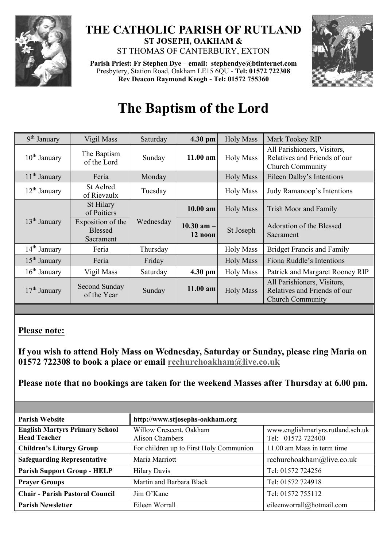

## **THE CATHOLIC PARISH OF RUTLAND ST JOSEPH, OAKHAM &**  ST THOMAS OF CANTERBURY, EXTON

**Parish Priest: Fr Stephen Dye** – **[email: stephendye@btinternet.com](mailto:email:%20%20stephendye@btinternet.com)** Presbytery, Station Road, Oakham LE15 6QU - **Tel: 01572 722308 Rev Deacon Raymond Keogh - Tel: 01572 755360**



## **The Baptism of the Lord**

| 9 <sup>th</sup> January  | Vigil Mass                                       | Saturday  | 4.30 pm                    | <b>Holy Mass</b> | Mark Tookey RIP                                                                        |
|--------------------------|--------------------------------------------------|-----------|----------------------------|------------------|----------------------------------------------------------------------------------------|
| $10th$ January           | The Baptism<br>of the Lord                       | Sunday    | $11.00$ am                 | <b>Holy Mass</b> | All Parishioners, Visitors,<br>Relatives and Friends of our<br><b>Church Community</b> |
| $11th$ January           | Feria                                            | Monday    |                            | <b>Holy Mass</b> | Eileen Dalby's Intentions                                                              |
| $12th$ January           | St Aelred<br>of Rievaulx                         | Tuesday   |                            | <b>Holy Mass</b> | Judy Ramanoop's Intentions                                                             |
| 13 <sup>th</sup> January | St Hilary<br>of Poitiers                         | Wednesday | 10.00 am                   | <b>Holy Mass</b> | Trish Moor and Family                                                                  |
|                          | Exposition of the<br><b>Blessed</b><br>Sacrament |           | $10.30$ am $-1$<br>12 noon | St Joseph        | Adoration of the Blessed<br>Sacrament                                                  |
| $14th$ January           | Feria                                            | Thursday  |                            | <b>Holy Mass</b> | <b>Bridget Francis and Family</b>                                                      |
| $15th$ January           | Feria                                            | Friday    |                            | <b>Holy Mass</b> | Fiona Ruddle's Intentions                                                              |
| $16th$ January           | Vigil Mass                                       | Saturday  | 4.30 pm                    | <b>Holy Mass</b> | Patrick and Margaret Rooney RIP                                                        |
| $17th$ January           | Second Sunday<br>of the Year                     | Sunday    | 11.00 am                   | <b>Holy Mass</b> | All Parishioners, Visitors,<br>Relatives and Friends of our<br><b>Church Community</b> |

## **Please note:**

**If you wish to attend Holy Mass on Wednesday, Saturday or Sunday, please ring Maria on 01572 722308 to book a place or email [rcchurchoakham@live.co.uk](mailto:rcchurchoakham@live.co.uk)**

**Please note that no bookings are taken for the weekend Masses after Thursday at 6.00 pm.**

| <b>Parish Website</b>                                        | http://www.stjosephs-oakham.org            |                                                        |  |  |
|--------------------------------------------------------------|--------------------------------------------|--------------------------------------------------------|--|--|
| <b>English Martyrs Primary School</b><br><b>Head Teacher</b> | Willow Crescent, Oakham<br>Alison Chambers | www.englishmartyrs.rutland.sch.uk<br>Tel: 01572 722400 |  |  |
| <b>Children's Liturgy Group</b>                              | For children up to First Holy Communion    | 11.00 am Mass in term time                             |  |  |
| <b>Safeguarding Representative</b>                           | Maria Marriott                             | rcchurchoakham@live.co.uk                              |  |  |
| <b>Parish Support Group - HELP</b>                           | <b>Hilary Davis</b>                        | Tel: 01572 724256                                      |  |  |
| <b>Prayer Groups</b>                                         | Martin and Barbara Black                   | Tel: 01572 724918                                      |  |  |
| <b>Chair - Parish Pastoral Council</b>                       | Jim O'Kane                                 | Tel: 01572 755112                                      |  |  |
| <b>Parish Newsletter</b>                                     | Eileen Worrall                             | eileenworrall@hotmail.com                              |  |  |